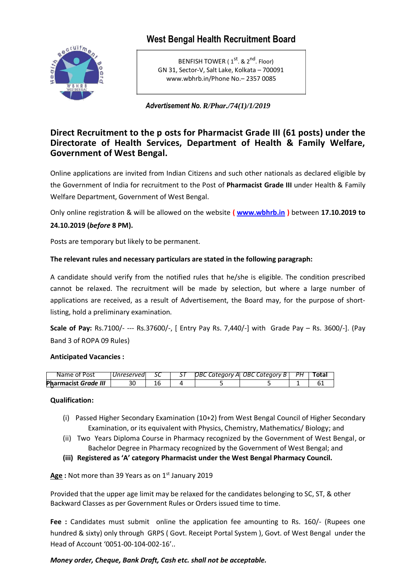# **West Bengal Health Recruitment Board**



BENFISH TOWER (1<sup>st</sup>. & 2<sup>nd</sup>. Floor) GN 31, Sector‐V, Salt Lake, Kolkata – 700091 www.wbhrb.in/Phone No.– 2357 0085

*Advertisement No. R/Phar./74(1)/1/2019*

## **Direct Recruitment to the p osts for Pharmacist Grade III (61 posts) under the Directorate of Health Services, Department of Health & Family Welfare, Government of West Bengal.**

Online applications are invited from Indian Citizens and such other nationals as declared eligible by the Government of India for recruitment to the Post of **Pharmacist Grade III** under Health & Family Welfare Department, Government of West Bengal.

Only online registration & will be allowed on the website **( www.wbhrb.in )** between **17.10.2019 to 24.10.2019 (***before* **8 PM).**

Posts are temporary but likely to be permanent.

## **The relevant rules and necessary particulars are stated in the following paragraph:**

A candidate should verify from the notified rules that he/she is eligible. The condition prescribed cannot be relaxed. The recruitment will be made by selection, but where a large number of applications are received, as a result of Advertisement, the Board may, for the purpose of shortlisting, hold a preliminary examination.

**Scale of Pay:** Rs.7100/- --- Rs.37600/-, [ Entry Pay Rs. 7,440/-] with Grade Pay – Rs. 3600/-]. (Pay Band 3 of ROPA 09 Rules)

#### **Anticipated Vacancies :**

| Name of Post                | Unreserved |  | $DBC$ Category Al OBC Category B   PH | Total |
|-----------------------------|------------|--|---------------------------------------|-------|
| Pharmacist <i>Grade III</i> |            |  |                                       |       |

#### **Qualification:**

- (i) Passed Higher Secondary Examination (10+2) from West Bengal Council of Higher Secondary Examination, or its equivalent with Physics, Chemistry, Mathematics/ Biology; and
- (ii) Two Years Diploma Course in Pharmacy recognized by the Government of West Bengal, or Bachelor Degree in Pharmacy recognized by the Government of West Bengal; and
- **(iii) Registered as 'A' category Pharmacist under the West Bengal Pharmacy Council.**

**Age :** Not more than 39 Years as on 1 st January 2019

Provided that the upper age limit may be relaxed for the candidates belonging to SC, ST, & other Backward Classes as per Government Rules or Orders issued time to time.

**Fee :** Candidates must submit online the application fee amounting to Rs. 160/- (Rupees one hundred & sixty) only through GRPS ( Govt. Receipt Portal System ), Govt. of West Bengal under the Head of Account '0051-00-104-002-16'..

## *Money order, Cheque, Bank Draft, Cash etc. shall not be acceptable.*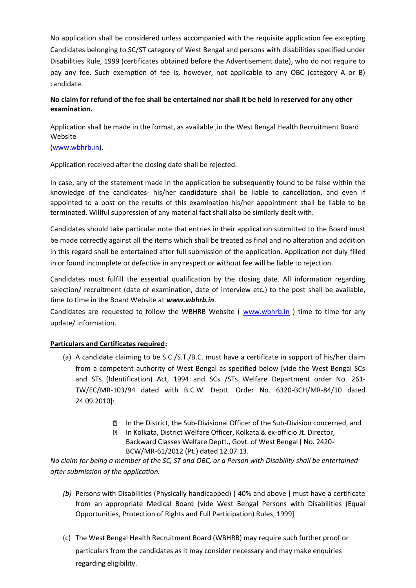No application shall be considered unless accompanied with the requisite application fee excepting Candidates belonging to SC/ST category of West Bengal and persons with disabilities specified under Disabilities Rule, 1999 (certificates obtained before the Advertisement date), who do not require to pay any fee. Such exemption of fee is, however, not applicable to any OBC (category A or B) candidate.

## **No claim for refund of the fee shall be entertained nor shall it be held in reserved for any other examination.**

Application shall be made in the format, as available ,in the West Bengal Health Recruitment Board Website

#### (www.wbhrb.in).

Application received after the closing date shall be rejected.

In case, any of the statement made in the application be subsequently found to be false within the knowledge of the candidates- his/her candidature shall be liable to cancellation, and even if appointed to a post on the results of this examination his/her appointment shall be liable to be terminated. Willful suppression of any material fact shall also be similarly dealt with.

Candidates should take particular note that entries in their application submitted to the Board must be made correctly against all the items which shall be treated as final and no alteration and addition in this regard shall be entertained after full submission of the application. Application not duly filled in or found incomplete or defective in any respect or without fee will be liable to rejection.

Candidates must fulfill the essential qualification by the closing date. All information regarding selection/ recruitment (date of examination, date of interview etc.) to the post shall be available, time to time in the Board Website at *www.wbhrb.in*.

Candidates are requested to follow the WBHRB Website ( www.wbhrb.in ) time to time for any update/ information.

## **Particulars and Certificates required:**

- (a) A candidate claiming to be S.C./S.T./B.C. must have a certificate in support of his/her claim from a competent authority of West Bengal as specified below [vide the West Bengal SCs and STs (Identification) Act, 1994 and SCs /STs Welfare Department order No. 261- TW/EC/MR-103/94 dated with B.C.W. Deptt. Order No. 6320-BCH/MR-84/10 dated 24.09.2010]:
	- **In the District, the Sub-Divisional Officer of the Sub-Division concerned, and**
	- **In Kolkata, District Welfare Officer, Kolkata & ex-officio Jt. Director,** Backward Classes Welfare Deptt., Govt. of West Bengal [ No. 2420- BCW/MR-61/2012 (Pt.) dated 12.07.13.

*No claim for being a member of the SC, ST and OBC, or a Person with Disability shall be entertained after submission of the application.*

- *(b)* Persons with Disabilities (Physically handicapped) [ 40% and above ] must have a certificate from an appropriate Medical Board [vide West Bengal Persons with Disabilities (Equal Opportunities, Protection of Rights and Full Participation) Rules, 1999]
- (c) The West Bengal Health Recruitment Board (WBHRB) may require such further proof or particulars from the candidates as it may consider necessary and may make enquiries regarding eligibility.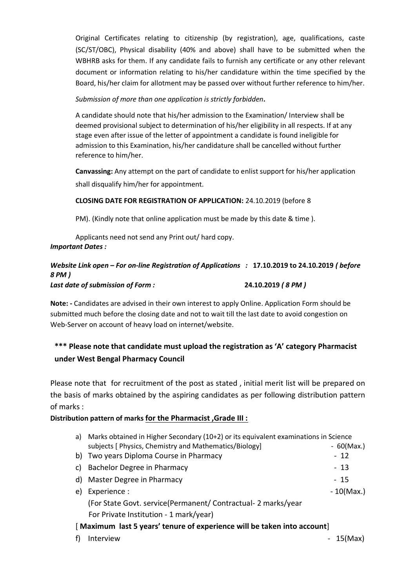Original Certificates relating to citizenship (by registration), age, qualifications, caste (SC/ST/OBC), Physical disability (40% and above) shall have to be submitted when the WBHRB asks for them. If any candidate fails to furnish any certificate or any other relevant document or information relating to his/her candidature within the time specified by the Board, his/her claim for allotment may be passed over without further reference to him/her.

### *Submission of more than one application is strictly forbidden.*

A candidate should note that his/her admission to the Examination/ Interview shall be deemed provisional subject to determination of his/her eligibility in all respects. If at any stage even after issue of the letter of appointment a candidate is found ineligible for admission to this Examination, his/her candidature shall be cancelled without further reference to him/her.

**Canvassing:** Any attempt on the part of candidate to enlist support for his/her application shall disqualify him/her for appointment.

#### **CLOSING DATE FOR REGISTRATION OF APPLICATION:** 24.10.2019 (before 8

PM). (Kindly note that online application must be made by this date & time ).

Applicants need not send any Print out/ hard copy. *Important Dates :*

## *Website Link open – For on-line Registration of Applications :* **17.10.2019 to 24.10.2019** *( before 8 PM ) Last date of submission of Form :* **24.10.2019** *( 8 PM )*

**Note: ‐** Candidates are advised in their own interest to apply Online. Application Form should be submitted much before the closing date and not to wait till the last date to avoid congestion on Web-Server on account of heavy load on internet/website.

## **\*\*\* Please note that candidate must upload the registration as 'A' category Pharmacist under West Bengal Pharmacy Council**

Please note that for recruitment of the post as stated , initial merit list will be prepared on the basis of marks obtained by the aspiring candidates as per following distribution pattern of marks :

## **Distribution pattern of marks for the Pharmacist ,Grade III :**

| a)                                                                      | Marks obtained in Higher Secondary (10+2) or its equivalent examinations in Science |              |  |  |  |  |
|-------------------------------------------------------------------------|-------------------------------------------------------------------------------------|--------------|--|--|--|--|
|                                                                         | subjects [ Physics, Chemistry and Mathematics/Biology]                              | $-60$ (Max.) |  |  |  |  |
|                                                                         | b) Two years Diploma Course in Pharmacy                                             | $-12$        |  |  |  |  |
| C)                                                                      | Bachelor Degree in Pharmacy                                                         | $-13$        |  |  |  |  |
| d)                                                                      | Master Degree in Pharmacy                                                           | - 15         |  |  |  |  |
| e)                                                                      | Experience :                                                                        | $-10(Max.)$  |  |  |  |  |
|                                                                         | (For State Govt. service(Permanent/ Contractual- 2 marks/year                       |              |  |  |  |  |
|                                                                         | For Private Institution - 1 mark/year)                                              |              |  |  |  |  |
| [Maximum last 5 years' tenure of experience will be taken into account] |                                                                                     |              |  |  |  |  |
| t)                                                                      | Interview                                                                           | - 15(Max)    |  |  |  |  |